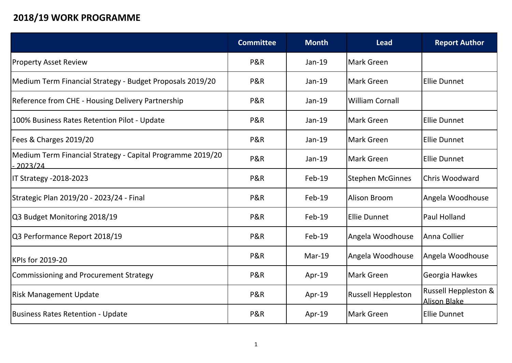## **2018/19 WORK PROGRAMME**

|                                                                                  | <b>Committee</b> | <b>Month</b> | <b>Lead</b>               | <b>Report Author</b>                                    |
|----------------------------------------------------------------------------------|------------------|--------------|---------------------------|---------------------------------------------------------|
| <b>Property Asset Review</b>                                                     | P&R              | $Jan-19$     | Mark Green                |                                                         |
| Medium Term Financial Strategy - Budget Proposals 2019/20                        | P&R              | $Jan-19$     | lMark Green               | Ellie Dunnet                                            |
| Reference from CHE - Housing Delivery Partnership                                | P&R              | $Jan-19$     | <b>William Cornall</b>    |                                                         |
| 100% Business Rates Retention Pilot - Update                                     | P&R              | Jan-19       | lMark Green               | Ellie Dunnet                                            |
| Fees & Charges 2019/20                                                           | P&R              | $Jan-19$     | Mark Green                | <b>Ellie Dunnet</b>                                     |
| Medium Term Financial Strategy - Capital Programme 2019/20<br><u> 2023/24 - </u> | P&R              | Jan-19       | lMark Green               | Ellie Dunnet                                            |
| IT Strategy -2018-2023                                                           | P&R              | Feb-19       | Stephen McGinnes          | Chris Woodward                                          |
| Strategic Plan 2019/20 - 2023/24 - Final                                         | P&R              | Feb-19       | Alison Broom              | Angela Woodhouse                                        |
| Q3 Budget Monitoring 2018/19                                                     | P&R              | Feb-19       | Ellie Dunnet              | Paul Holland                                            |
| Q3 Performance Report 2018/19                                                    | P&R              | Feb-19       | Angela Woodhouse          | Anna Collier                                            |
| KPIs for 2019-20                                                                 | P&R              | $Mar-19$     | Angela Woodhouse          | Angela Woodhouse                                        |
| Commissioning and Procurement Strategy                                           | P&R              | Apr-19       | Mark Green                | Georgia Hawkes                                          |
| <b>Risk Management Update</b>                                                    | P&R              | Apr-19       | <b>Russell Heppleston</b> | <b>Russell Heppleston &amp;</b><br><u>lAlison Blake</u> |
| Business Rates Retention - Update                                                | P&R              | Apr-19       | Mark Green                | <b>Ellie Dunnet</b>                                     |